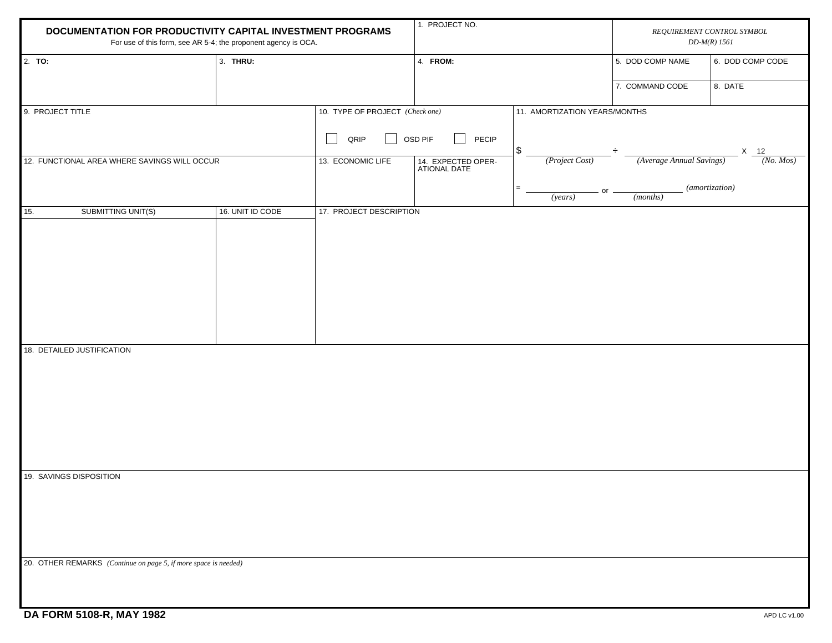| DOCUMENTATION FOR PRODUCTIVITY CAPITAL INVESTMENT PROGRAMS<br>For use of this form, see AR 5-4; the proponent agency is OCA. |                  | 1. PROJECT NO.                  |                                    |                               | REQUIREMENT CONTROL SYMBOL<br>$DD-M(R)$ 1561 |                  |
|------------------------------------------------------------------------------------------------------------------------------|------------------|---------------------------------|------------------------------------|-------------------------------|----------------------------------------------|------------------|
| 2. TO:                                                                                                                       | 3. THRU:         |                                 | 4. FROM:                           |                               | 5. DOD COMP NAME                             | 6. DOD COMP CODE |
|                                                                                                                              |                  |                                 |                                    |                               | 7. COMMAND CODE                              | 8. DATE          |
| 9. PROJECT TITLE                                                                                                             |                  | 10. TYPE OF PROJECT (Check one) |                                    | 11. AMORTIZATION YEARS/MONTHS |                                              |                  |
|                                                                                                                              |                  | QRIP                            | OSD PIF<br>PECIP                   | \$                            |                                              | $X$ 12           |
| 12. FUNCTIONAL AREA WHERE SAVINGS WILL OCCUR                                                                                 |                  | 13. ECONOMIC LIFE               | 14. EXPECTED OPER-<br>ATIONAL DATE | (Project Cost)                | (Average Annual Savings)                     | (No. Mos)        |
|                                                                                                                              |                  |                                 |                                    | $=$<br>or<br>(years)          | ( <i>months</i> )                            | (amortization)   |
| 15.<br>SUBMITTING UNIT(S)                                                                                                    | 16. UNIT ID CODE | 17. PROJECT DESCRIPTION         |                                    |                               |                                              |                  |
|                                                                                                                              |                  |                                 |                                    |                               |                                              |                  |
|                                                                                                                              |                  |                                 |                                    |                               |                                              |                  |
|                                                                                                                              |                  |                                 |                                    |                               |                                              |                  |
|                                                                                                                              |                  |                                 |                                    |                               |                                              |                  |
|                                                                                                                              |                  |                                 |                                    |                               |                                              |                  |
| 18. DETAILED JUSTIFICATION                                                                                                   |                  |                                 |                                    |                               |                                              |                  |
|                                                                                                                              |                  |                                 |                                    |                               |                                              |                  |
|                                                                                                                              |                  |                                 |                                    |                               |                                              |                  |
|                                                                                                                              |                  |                                 |                                    |                               |                                              |                  |
|                                                                                                                              |                  |                                 |                                    |                               |                                              |                  |
| 19. SAVINGS DISPOSITION                                                                                                      |                  |                                 |                                    |                               |                                              |                  |
|                                                                                                                              |                  |                                 |                                    |                               |                                              |                  |
|                                                                                                                              |                  |                                 |                                    |                               |                                              |                  |
|                                                                                                                              |                  |                                 |                                    |                               |                                              |                  |
| 20. OTHER REMARKS (Continue on page 5, if more space is needed)                                                              |                  |                                 |                                    |                               |                                              |                  |
|                                                                                                                              |                  |                                 |                                    |                               |                                              |                  |
|                                                                                                                              |                  |                                 |                                    |                               |                                              |                  |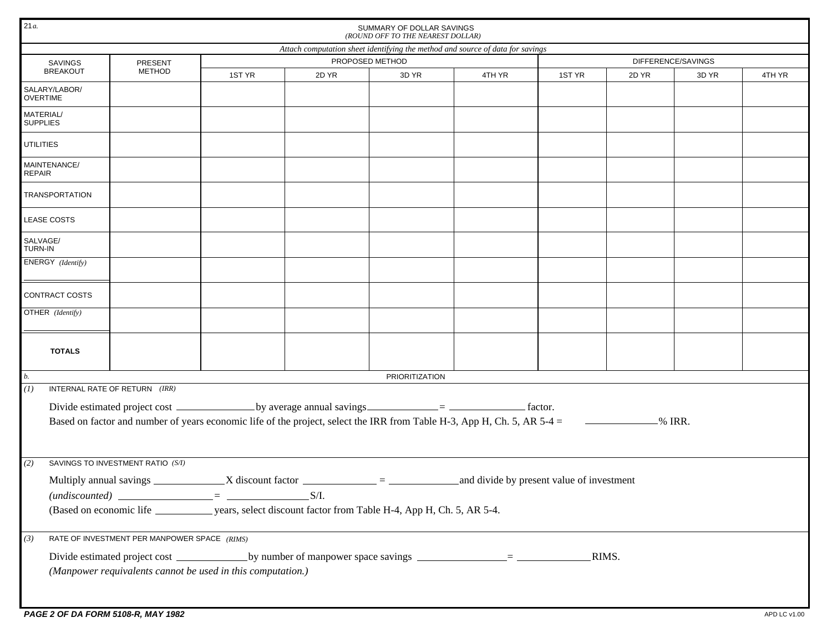| 21a<br>SUMMARY OF DOLLAR SAVINGS<br>(ROUND OFF TO THE NEAREST DOLLAR)          |                                                                                                                                     |        |       |       |        |        |                    |       |        |  |  |  |  |  |  |
|--------------------------------------------------------------------------------|-------------------------------------------------------------------------------------------------------------------------------------|--------|-------|-------|--------|--------|--------------------|-------|--------|--|--|--|--|--|--|
| Attach computation sheet identifying the method and source of data for savings |                                                                                                                                     |        |       |       |        |        |                    |       |        |  |  |  |  |  |  |
| SAVINGS                                                                        | PROPOSED METHOD<br>PRESENT                                                                                                          |        |       |       |        |        | DIFFERENCE/SAVINGS |       |        |  |  |  |  |  |  |
| <b>BREAKOUT</b>                                                                | <b>METHOD</b>                                                                                                                       | 1ST YR | 2D YR | 3D YR | 4TH YR | 1ST YR | 2D YR              | 3D YR | 4TH YR |  |  |  |  |  |  |
| SALARY/LABOR/<br><b>OVERTIME</b>                                               |                                                                                                                                     |        |       |       |        |        |                    |       |        |  |  |  |  |  |  |
| MATERIAL/<br><b>SUPPLIES</b>                                                   |                                                                                                                                     |        |       |       |        |        |                    |       |        |  |  |  |  |  |  |
| <b>UTILITIES</b>                                                               |                                                                                                                                     |        |       |       |        |        |                    |       |        |  |  |  |  |  |  |
| MAINTENANCE/<br>REPAIR                                                         |                                                                                                                                     |        |       |       |        |        |                    |       |        |  |  |  |  |  |  |
| <b>TRANSPORTATION</b>                                                          |                                                                                                                                     |        |       |       |        |        |                    |       |        |  |  |  |  |  |  |
| <b>LEASE COSTS</b>                                                             |                                                                                                                                     |        |       |       |        |        |                    |       |        |  |  |  |  |  |  |
| SALVAGE/<br>TURN-IN                                                            |                                                                                                                                     |        |       |       |        |        |                    |       |        |  |  |  |  |  |  |
| ENERGY (Identify)                                                              |                                                                                                                                     |        |       |       |        |        |                    |       |        |  |  |  |  |  |  |
| CONTRACT COSTS                                                                 |                                                                                                                                     |        |       |       |        |        |                    |       |        |  |  |  |  |  |  |
| OTHER (Identify)                                                               |                                                                                                                                     |        |       |       |        |        |                    |       |        |  |  |  |  |  |  |
| <b>TOTALS</b>                                                                  |                                                                                                                                     |        |       |       |        |        |                    |       |        |  |  |  |  |  |  |
| $\mathfrak{b}$ .<br>PRIORITIZATION                                             |                                                                                                                                     |        |       |       |        |        |                    |       |        |  |  |  |  |  |  |
| (I)                                                                            | INTERNAL RATE OF RETURN (IRR)                                                                                                       |        |       |       |        |        |                    |       |        |  |  |  |  |  |  |
|                                                                                |                                                                                                                                     |        |       |       |        |        |                    |       |        |  |  |  |  |  |  |
|                                                                                | Based on factor and number of years economic life of the project, select the IRR from Table H-3, App H, Ch. 5, AR 5-4 = $\sim$ MRR. |        |       |       |        |        |                    |       |        |  |  |  |  |  |  |
|                                                                                |                                                                                                                                     |        |       |       |        |        |                    |       |        |  |  |  |  |  |  |
| (2)                                                                            | SAVINGS TO INVESTMENT RATIO (S/I)                                                                                                   |        |       |       |        |        |                    |       |        |  |  |  |  |  |  |
|                                                                                |                                                                                                                                     |        |       |       |        |        |                    |       |        |  |  |  |  |  |  |
|                                                                                | $(undiscounted)$ $\qquad \qquad \qquad =$ $\qquad \qquad \qquad$ S/I.                                                               |        |       |       |        |        |                    |       |        |  |  |  |  |  |  |
|                                                                                |                                                                                                                                     |        |       |       |        |        |                    |       |        |  |  |  |  |  |  |
| (3)                                                                            | RATE OF INVESTMENT PER MANPOWER SPACE (RIMS)                                                                                        |        |       |       |        |        |                    |       |        |  |  |  |  |  |  |
|                                                                                |                                                                                                                                     |        |       |       |        | _RIMS. |                    |       |        |  |  |  |  |  |  |
|                                                                                | (Manpower requivalents cannot be used in this computation.)                                                                         |        |       |       |        |        |                    |       |        |  |  |  |  |  |  |
|                                                                                |                                                                                                                                     |        |       |       |        |        |                    |       |        |  |  |  |  |  |  |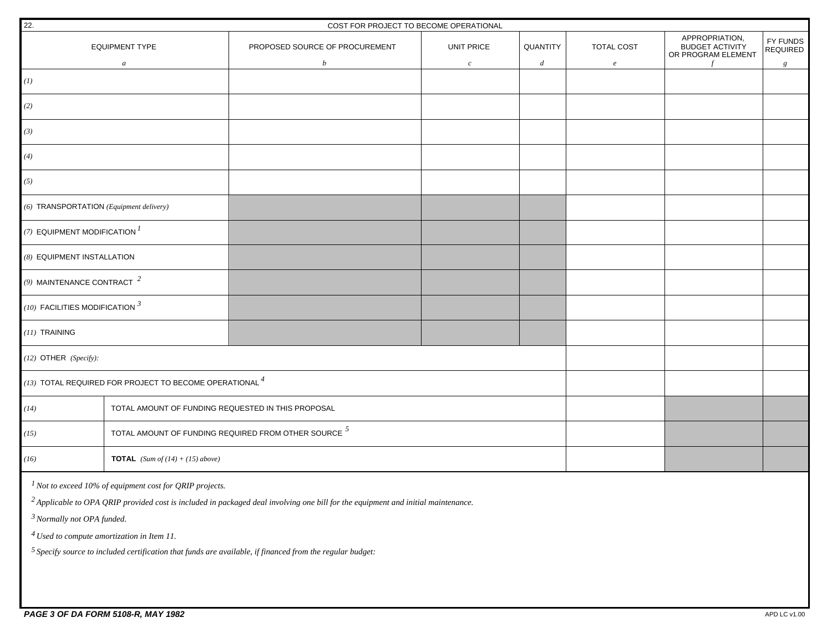| 22.                                                                                                         |                                                                                           | COST FOR PROJECT TO BECOME OPERATIONAL                                                                                                       |                  |                  |            |                                                                |                             |  |
|-------------------------------------------------------------------------------------------------------------|-------------------------------------------------------------------------------------------|----------------------------------------------------------------------------------------------------------------------------------------------|------------------|------------------|------------|----------------------------------------------------------------|-----------------------------|--|
|                                                                                                             | <b>EQUIPMENT TYPE</b>                                                                     | PROPOSED SOURCE OF PROCUREMENT                                                                                                               | UNIT PRICE       | QUANTITY         | TOTAL COST | APPROPRIATION,<br><b>BUDGET ACTIVITY</b><br>OR PROGRAM ELEMENT | FY FUNDS<br><b>REQUIRED</b> |  |
|                                                                                                             | $\boldsymbol{a}$                                                                          | $\boldsymbol{b}$                                                                                                                             | $\boldsymbol{c}$ | $\boldsymbol{d}$ | $\epsilon$ |                                                                | g                           |  |
| (1)                                                                                                         |                                                                                           |                                                                                                                                              |                  |                  |            |                                                                |                             |  |
| (2)                                                                                                         |                                                                                           |                                                                                                                                              |                  |                  |            |                                                                |                             |  |
| (3)                                                                                                         |                                                                                           |                                                                                                                                              |                  |                  |            |                                                                |                             |  |
| (4)                                                                                                         |                                                                                           |                                                                                                                                              |                  |                  |            |                                                                |                             |  |
| (5)                                                                                                         |                                                                                           |                                                                                                                                              |                  |                  |            |                                                                |                             |  |
| (6) TRANSPORTATION (Equipment delivery)                                                                     |                                                                                           |                                                                                                                                              |                  |                  |            |                                                                |                             |  |
| (7) EQUIPMENT MODIFICATION $I$                                                                              |                                                                                           |                                                                                                                                              |                  |                  |            |                                                                |                             |  |
| (8) EQUIPMENT INSTALLATION                                                                                  |                                                                                           |                                                                                                                                              |                  |                  |            |                                                                |                             |  |
| (9) MAINTENANCE CONTRACT $^2$                                                                               |                                                                                           |                                                                                                                                              |                  |                  |            |                                                                |                             |  |
| (10) FACILITIES MODIFICATION $^3$                                                                           |                                                                                           |                                                                                                                                              |                  |                  |            |                                                                |                             |  |
| $(11)$ TRAINING                                                                                             |                                                                                           |                                                                                                                                              |                  |                  |            |                                                                |                             |  |
| $(12)$ OTHER $(Specify)$ :                                                                                  |                                                                                           |                                                                                                                                              |                  |                  |            |                                                                |                             |  |
|                                                                                                             | $\left  \left( 13\right) \right.$ TOTAL REQUIRED FOR PROJECT TO BECOME OPERATIONAL $^{4}$ |                                                                                                                                              |                  |                  |            |                                                                |                             |  |
| (14)                                                                                                        | TOTAL AMOUNT OF FUNDING REQUESTED IN THIS PROPOSAL                                        |                                                                                                                                              |                  |                  |            |                                                                |                             |  |
| (15)                                                                                                        |                                                                                           | TOTAL AMOUNT OF FUNDING REQUIRED FROM OTHER SOURCE $^5$                                                                                      |                  |                  |            |                                                                |                             |  |
| (16)                                                                                                        | <b>TOTAL</b> (Sum of $(14) + (15)$ above)                                                 |                                                                                                                                              |                  |                  |            |                                                                |                             |  |
|                                                                                                             | $1$ Not to exceed 10% of equipment cost for QRIP projects.                                |                                                                                                                                              |                  |                  |            |                                                                |                             |  |
|                                                                                                             |                                                                                           | <sup>2</sup> Applicable to OPA QRIP provided cost is included in packaged deal involving one bill for the equipment and initial maintenance. |                  |                  |            |                                                                |                             |  |
| <sup>3</sup> Normally not OPA funded.                                                                       |                                                                                           |                                                                                                                                              |                  |                  |            |                                                                |                             |  |
| $4$ Used to compute amortization in Item 11.                                                                |                                                                                           |                                                                                                                                              |                  |                  |            |                                                                |                             |  |
| $5$ Specify source to included certification that funds are available, if financed from the regular budget: |                                                                                           |                                                                                                                                              |                  |                  |            |                                                                |                             |  |
|                                                                                                             |                                                                                           |                                                                                                                                              |                  |                  |            |                                                                |                             |  |
|                                                                                                             |                                                                                           |                                                                                                                                              |                  |                  |            |                                                                |                             |  |
|                                                                                                             |                                                                                           |                                                                                                                                              |                  |                  |            |                                                                |                             |  |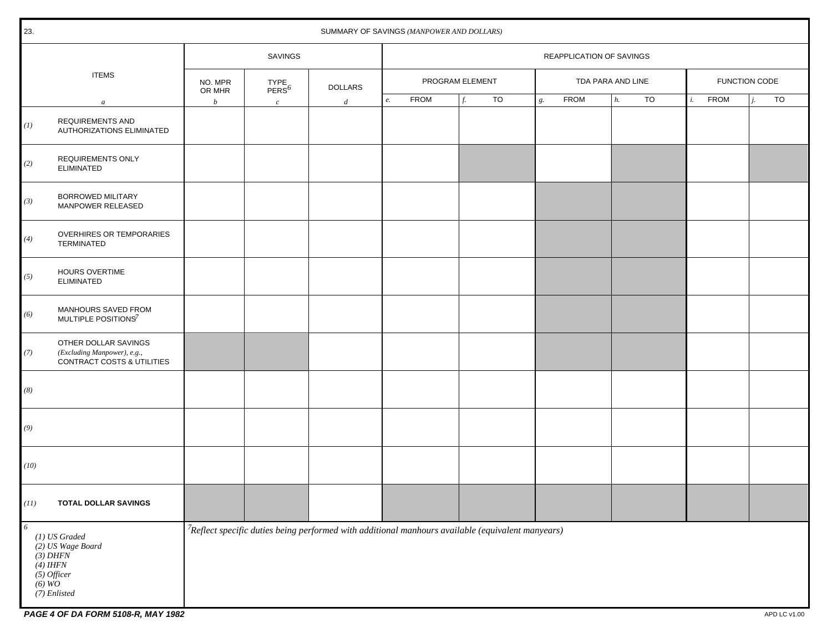| 23.           | SUMMARY OF SAVINGS (MANPOWER AND DOLLARS)                                                       |                                                             |                |                                                                                                      |                 |                          |    |    |                   |             |             |    |               |             |             |    |
|---------------|-------------------------------------------------------------------------------------------------|-------------------------------------------------------------|----------------|------------------------------------------------------------------------------------------------------|-----------------|--------------------------|----|----|-------------------|-------------|-------------|----|---------------|-------------|-------------|----|
|               |                                                                                                 | SAVINGS                                                     |                |                                                                                                      |                 | REAPPLICATION OF SAVINGS |    |    |                   |             |             |    |               |             |             |    |
| <b>ITEMS</b>  | NO. MPR<br>OR MHR                                                                               | $\begin{array}{l} \text{TYPE} \\ \text{PERS}^6 \end{array}$ | <b>DOLLARS</b> |                                                                                                      | PROGRAM ELEMENT |                          |    |    | TDA PARA AND LINE |             |             |    | FUNCTION CODE |             |             |    |
|               | $\boldsymbol{a}$                                                                                | $\boldsymbol{b}$                                            | $\mathcal{C}$  | d                                                                                                    | e.              | <b>FROM</b>              | f. | TO | g.                | <b>FROM</b> | $\vert h$ . | TO | $i$ .         | <b>FROM</b> | $\dot{i}$ . | TO |
| (1)           | REQUIREMENTS AND<br>AUTHORIZATIONS ELIMINATED                                                   |                                                             |                |                                                                                                      |                 |                          |    |    |                   |             |             |    |               |             |             |    |
| (2)           | <b>REQUIREMENTS ONLY</b><br><b>ELIMINATED</b>                                                   |                                                             |                |                                                                                                      |                 |                          |    |    |                   |             |             |    |               |             |             |    |
| (3)           | BORROWED MILITARY<br>MANPOWER RELEASED                                                          |                                                             |                |                                                                                                      |                 |                          |    |    |                   |             |             |    |               |             |             |    |
| (4)           | <b>OVERHIRES OR TEMPORARIES</b><br>TERMINATED                                                   |                                                             |                |                                                                                                      |                 |                          |    |    |                   |             |             |    |               |             |             |    |
| (5)           | HOURS OVERTIME<br><b>ELIMINATED</b>                                                             |                                                             |                |                                                                                                      |                 |                          |    |    |                   |             |             |    |               |             |             |    |
| (6)           | MANHOURS SAVED FROM<br>MULTIPLE POSITIONS <sup>7</sup>                                          |                                                             |                |                                                                                                      |                 |                          |    |    |                   |             |             |    |               |             |             |    |
| (7)           | OTHER DOLLAR SAVINGS<br>(Excluding Manpower), e.g.,<br>CONTRACT COSTS & UTILITIES               |                                                             |                |                                                                                                      |                 |                          |    |    |                   |             |             |    |               |             |             |    |
| (8)           |                                                                                                 |                                                             |                |                                                                                                      |                 |                          |    |    |                   |             |             |    |               |             |             |    |
| (9)           |                                                                                                 |                                                             |                |                                                                                                      |                 |                          |    |    |                   |             |             |    |               |             |             |    |
| (10)          |                                                                                                 |                                                             |                |                                                                                                      |                 |                          |    |    |                   |             |             |    |               |             |             |    |
| (11)          | <b>TOTAL DOLLAR SAVINGS</b>                                                                     |                                                             |                |                                                                                                      |                 |                          |    |    |                   |             |             |    |               |             |             |    |
| 6<br>$(6)$ WO | (1) US Graded<br>(2) US Wage Board<br>$(3)$ DHFN<br>$(4)$ IHFN<br>$(5)$ Officer<br>(7) Enlisted |                                                             |                | $7$ Reflect specific duties being performed with additional manhours available (equivalent manyears) |                 |                          |    |    |                   |             |             |    |               |             |             |    |